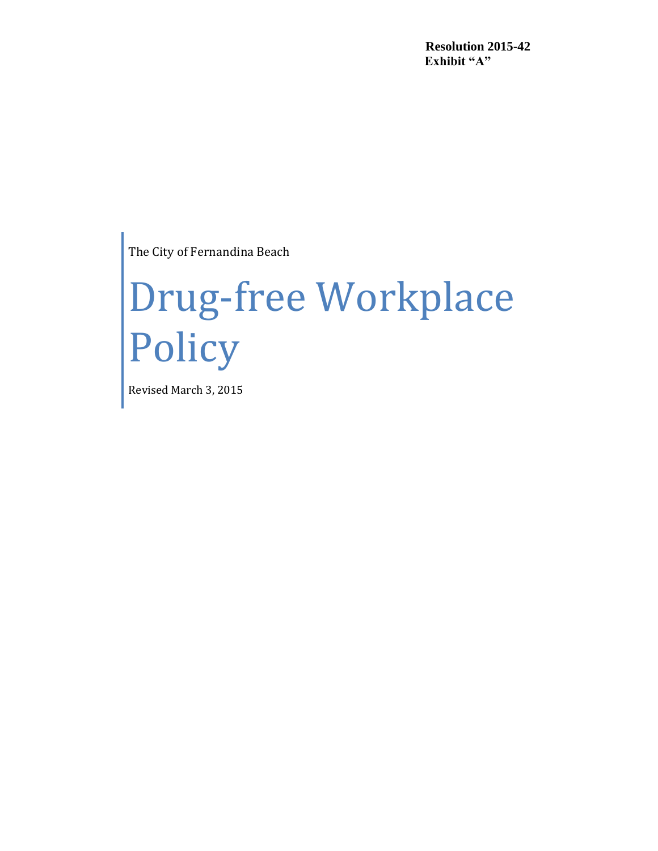**Resolution 2015-42 Exhibit "A"**

The City of Fernandina Beach

# Drug-free Workplace **Policy**

Revised March 3, 2015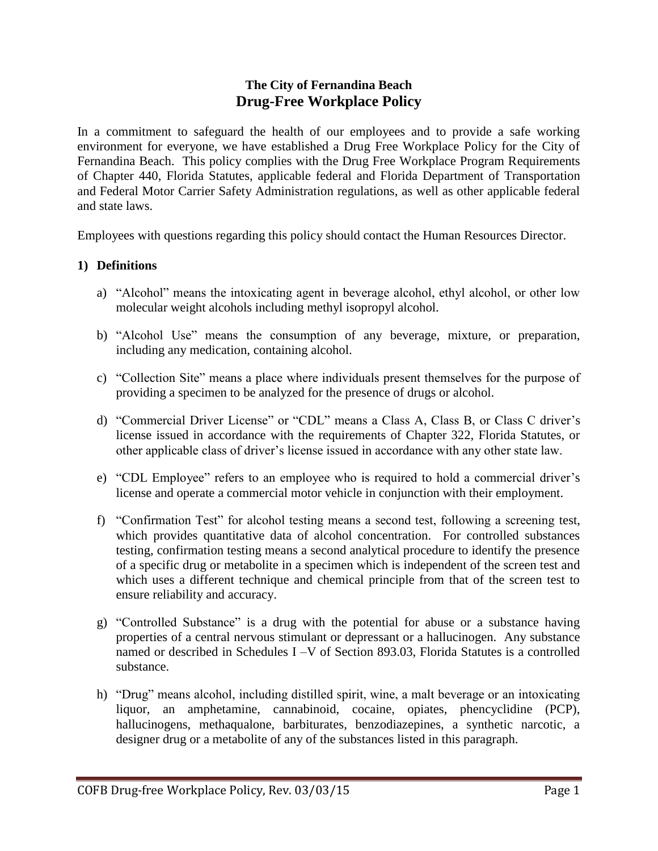# **The City of Fernandina Beach Drug-Free Workplace Policy**

In a commitment to safeguard the health of our employees and to provide a safe working environment for everyone, we have established a Drug Free Workplace Policy for the City of Fernandina Beach. This policy complies with the Drug Free Workplace Program Requirements of Chapter 440, Florida Statutes, applicable federal and Florida Department of Transportation and Federal Motor Carrier Safety Administration regulations, as well as other applicable federal and state laws.

Employees with questions regarding this policy should contact the Human Resources Director.

#### **1) Definitions**

- a) "Alcohol" means the intoxicating agent in beverage alcohol, ethyl alcohol, or other low molecular weight alcohols including methyl isopropyl alcohol.
- b) "Alcohol Use" means the consumption of any beverage, mixture, or preparation, including any medication, containing alcohol.
- c) "Collection Site" means a place where individuals present themselves for the purpose of providing a specimen to be analyzed for the presence of drugs or alcohol.
- d) "Commercial Driver License" or "CDL" means a Class A, Class B, or Class C driver's license issued in accordance with the requirements of Chapter 322, Florida Statutes, or other applicable class of driver's license issued in accordance with any other state law.
- e) "CDL Employee" refers to an employee who is required to hold a commercial driver's license and operate a commercial motor vehicle in conjunction with their employment.
- f) "Confirmation Test" for alcohol testing means a second test, following a screening test, which provides quantitative data of alcohol concentration. For controlled substances testing, confirmation testing means a second analytical procedure to identify the presence of a specific drug or metabolite in a specimen which is independent of the screen test and which uses a different technique and chemical principle from that of the screen test to ensure reliability and accuracy.
- g) "Controlled Substance" is a drug with the potential for abuse or a substance having properties of a central nervous stimulant or depressant or a hallucinogen. Any substance named or described in Schedules I –V of Section 893.03, Florida Statutes is a controlled substance.
- h) "Drug" means alcohol, including distilled spirit, wine, a malt beverage or an intoxicating liquor, an amphetamine, cannabinoid, cocaine, opiates, phencyclidine (PCP), hallucinogens, methaqualone, barbiturates, benzodiazepines, a synthetic narcotic, a designer drug or a metabolite of any of the substances listed in this paragraph.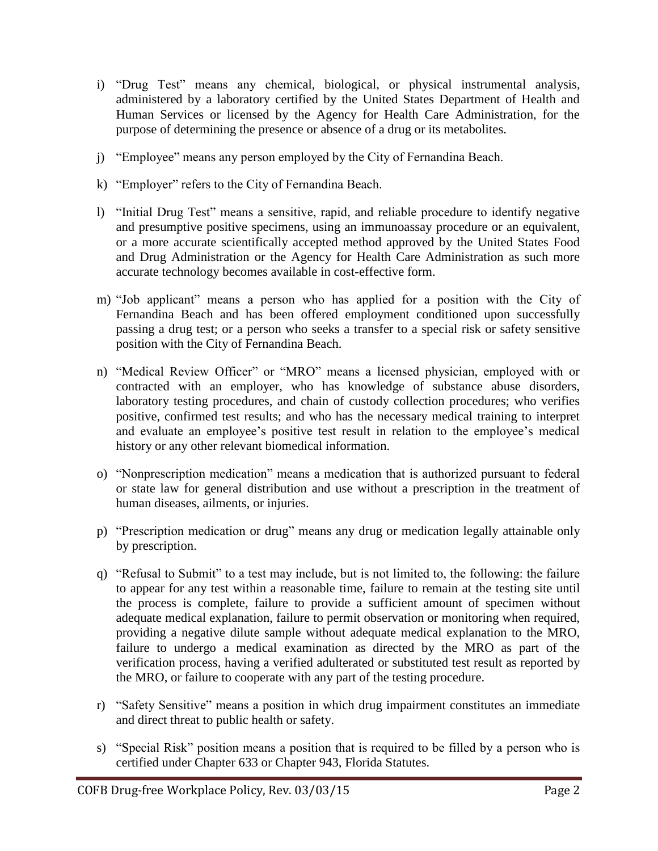- i) "Drug Test" means any chemical, biological, or physical instrumental analysis, administered by a laboratory certified by the United States Department of Health and Human Services or licensed by the Agency for Health Care Administration, for the purpose of determining the presence or absence of a drug or its metabolites.
- j) "Employee" means any person employed by the City of Fernandina Beach.
- k) "Employer" refers to the City of Fernandina Beach.
- l) "Initial Drug Test" means a sensitive, rapid, and reliable procedure to identify negative and presumptive positive specimens, using an immunoassay procedure or an equivalent, or a more accurate scientifically accepted method approved by the United States Food and Drug Administration or the Agency for Health Care Administration as such more accurate technology becomes available in cost-effective form.
- m) "Job applicant" means a person who has applied for a position with the City of Fernandina Beach and has been offered employment conditioned upon successfully passing a drug test; or a person who seeks a transfer to a special risk or safety sensitive position with the City of Fernandina Beach.
- n) "Medical Review Officer" or "MRO" means a licensed physician, employed with or contracted with an employer, who has knowledge of substance abuse disorders, laboratory testing procedures, and chain of custody collection procedures; who verifies positive, confirmed test results; and who has the necessary medical training to interpret and evaluate an employee's positive test result in relation to the employee's medical history or any other relevant biomedical information.
- o) "Nonprescription medication" means a medication that is authorized pursuant to federal or state law for general distribution and use without a prescription in the treatment of human diseases, ailments, or injuries.
- p) "Prescription medication or drug" means any drug or medication legally attainable only by prescription.
- q) "Refusal to Submit" to a test may include, but is not limited to, the following: the failure to appear for any test within a reasonable time, failure to remain at the testing site until the process is complete, failure to provide a sufficient amount of specimen without adequate medical explanation, failure to permit observation or monitoring when required, providing a negative dilute sample without adequate medical explanation to the MRO, failure to undergo a medical examination as directed by the MRO as part of the verification process, having a verified adulterated or substituted test result as reported by the MRO, or failure to cooperate with any part of the testing procedure.
- r) "Safety Sensitive" means a position in which drug impairment constitutes an immediate and direct threat to public health or safety.
- s) "Special Risk" position means a position that is required to be filled by a person who is certified under Chapter 633 or Chapter 943, Florida Statutes.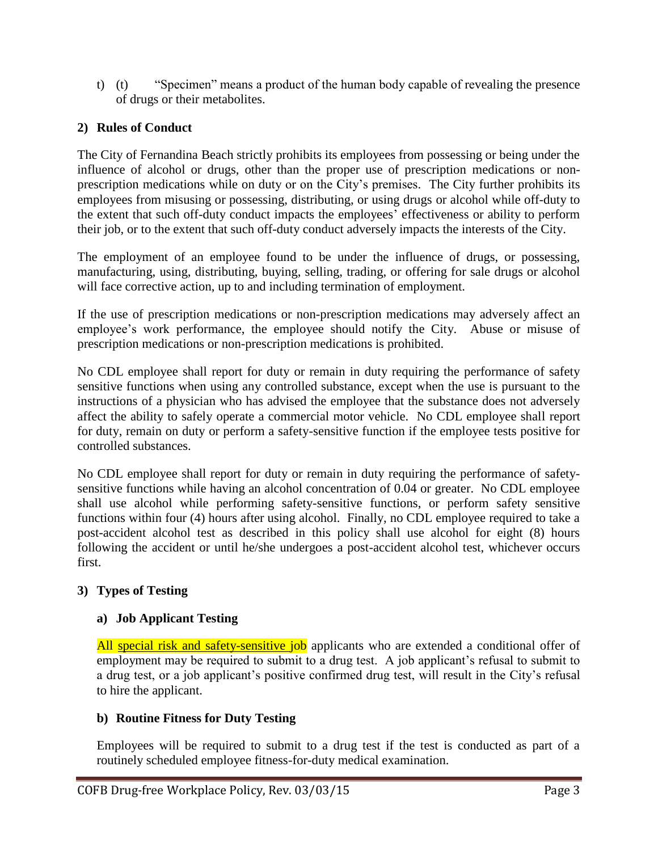t) (t) "Specimen" means a product of the human body capable of revealing the presence of drugs or their metabolites.

# **2) Rules of Conduct**

The City of Fernandina Beach strictly prohibits its employees from possessing or being under the influence of alcohol or drugs, other than the proper use of prescription medications or nonprescription medications while on duty or on the City's premises. The City further prohibits its employees from misusing or possessing, distributing, or using drugs or alcohol while off-duty to the extent that such off-duty conduct impacts the employees' effectiveness or ability to perform their job, or to the extent that such off-duty conduct adversely impacts the interests of the City.

The employment of an employee found to be under the influence of drugs, or possessing, manufacturing, using, distributing, buying, selling, trading, or offering for sale drugs or alcohol will face corrective action, up to and including termination of employment.

If the use of prescription medications or non-prescription medications may adversely affect an employee's work performance, the employee should notify the City. Abuse or misuse of prescription medications or non-prescription medications is prohibited.

No CDL employee shall report for duty or remain in duty requiring the performance of safety sensitive functions when using any controlled substance, except when the use is pursuant to the instructions of a physician who has advised the employee that the substance does not adversely affect the ability to safely operate a commercial motor vehicle. No CDL employee shall report for duty, remain on duty or perform a safety-sensitive function if the employee tests positive for controlled substances.

No CDL employee shall report for duty or remain in duty requiring the performance of safetysensitive functions while having an alcohol concentration of 0.04 or greater. No CDL employee shall use alcohol while performing safety-sensitive functions, or perform safety sensitive functions within four (4) hours after using alcohol. Finally, no CDL employee required to take a post-accident alcohol test as described in this policy shall use alcohol for eight (8) hours following the accident or until he/she undergoes a post-accident alcohol test, whichever occurs first.

# **3) Types of Testing**

# **a) Job Applicant Testing**

All special risk and safety-sensitive job applicants who are extended a conditional offer of employment may be required to submit to a drug test. A job applicant's refusal to submit to a drug test, or a job applicant's positive confirmed drug test, will result in the City's refusal to hire the applicant.

# **b) Routine Fitness for Duty Testing**

Employees will be required to submit to a drug test if the test is conducted as part of a routinely scheduled employee fitness-for-duty medical examination.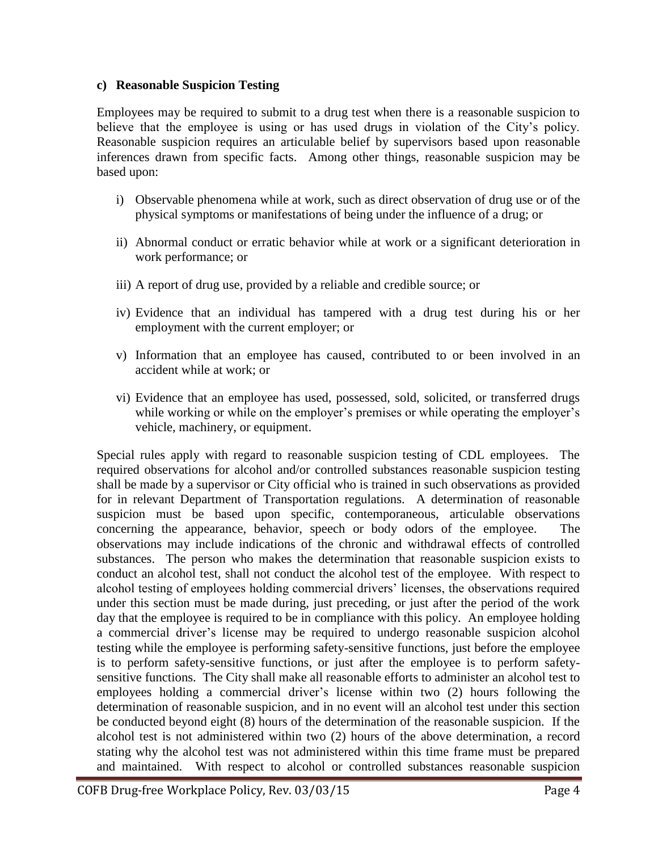#### **c) Reasonable Suspicion Testing**

Employees may be required to submit to a drug test when there is a reasonable suspicion to believe that the employee is using or has used drugs in violation of the City's policy. Reasonable suspicion requires an articulable belief by supervisors based upon reasonable inferences drawn from specific facts. Among other things, reasonable suspicion may be based upon:

- i) Observable phenomena while at work, such as direct observation of drug use or of the physical symptoms or manifestations of being under the influence of a drug; or
- ii) Abnormal conduct or erratic behavior while at work or a significant deterioration in work performance; or
- iii) A report of drug use, provided by a reliable and credible source; or
- iv) Evidence that an individual has tampered with a drug test during his or her employment with the current employer; or
- v) Information that an employee has caused, contributed to or been involved in an accident while at work; or
- vi) Evidence that an employee has used, possessed, sold, solicited, or transferred drugs while working or while on the employer's premises or while operating the employer's vehicle, machinery, or equipment.

Special rules apply with regard to reasonable suspicion testing of CDL employees. The required observations for alcohol and/or controlled substances reasonable suspicion testing shall be made by a supervisor or City official who is trained in such observations as provided for in relevant Department of Transportation regulations. A determination of reasonable suspicion must be based upon specific, contemporaneous, articulable observations concerning the appearance, behavior, speech or body odors of the employee. The observations may include indications of the chronic and withdrawal effects of controlled substances. The person who makes the determination that reasonable suspicion exists to conduct an alcohol test, shall not conduct the alcohol test of the employee. With respect to alcohol testing of employees holding commercial drivers' licenses, the observations required under this section must be made during, just preceding, or just after the period of the work day that the employee is required to be in compliance with this policy. An employee holding a commercial driver's license may be required to undergo reasonable suspicion alcohol testing while the employee is performing safety-sensitive functions, just before the employee is to perform safety-sensitive functions, or just after the employee is to perform safetysensitive functions. The City shall make all reasonable efforts to administer an alcohol test to employees holding a commercial driver's license within two (2) hours following the determination of reasonable suspicion, and in no event will an alcohol test under this section be conducted beyond eight (8) hours of the determination of the reasonable suspicion. If the alcohol test is not administered within two (2) hours of the above determination, a record stating why the alcohol test was not administered within this time frame must be prepared and maintained. With respect to alcohol or controlled substances reasonable suspicion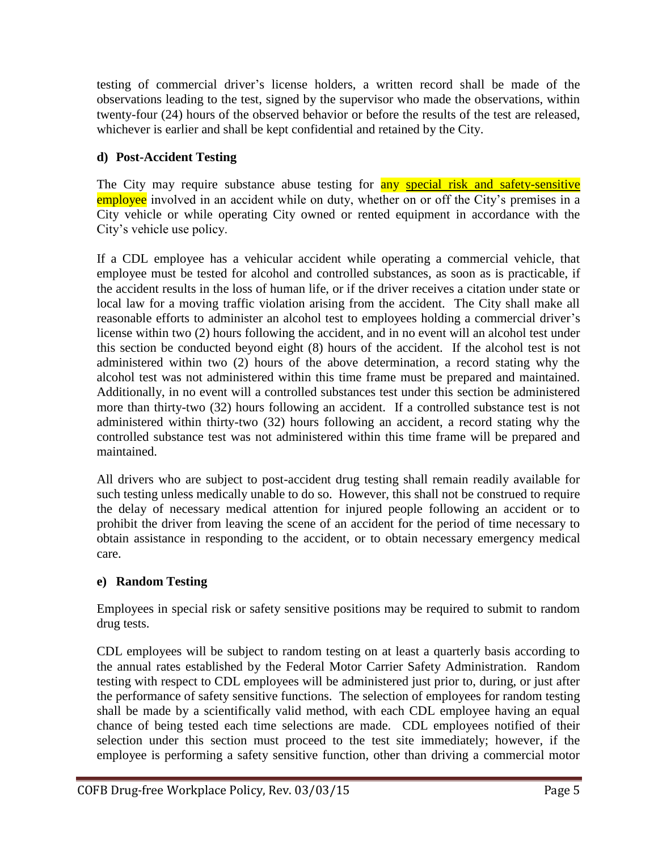testing of commercial driver's license holders, a written record shall be made of the observations leading to the test, signed by the supervisor who made the observations, within twenty-four (24) hours of the observed behavior or before the results of the test are released, whichever is earlier and shall be kept confidential and retained by the City.

# **d) Post-Accident Testing**

The City may require substance abuse testing for **any special risk and safety-sensitive** employee involved in an accident while on duty, whether on or off the City's premises in a City vehicle or while operating City owned or rented equipment in accordance with the City's vehicle use policy.

If a CDL employee has a vehicular accident while operating a commercial vehicle, that employee must be tested for alcohol and controlled substances, as soon as is practicable, if the accident results in the loss of human life, or if the driver receives a citation under state or local law for a moving traffic violation arising from the accident. The City shall make all reasonable efforts to administer an alcohol test to employees holding a commercial driver's license within two (2) hours following the accident, and in no event will an alcohol test under this section be conducted beyond eight (8) hours of the accident. If the alcohol test is not administered within two (2) hours of the above determination, a record stating why the alcohol test was not administered within this time frame must be prepared and maintained. Additionally, in no event will a controlled substances test under this section be administered more than thirty-two (32) hours following an accident. If a controlled substance test is not administered within thirty-two (32) hours following an accident, a record stating why the controlled substance test was not administered within this time frame will be prepared and maintained.

All drivers who are subject to post-accident drug testing shall remain readily available for such testing unless medically unable to do so. However, this shall not be construed to require the delay of necessary medical attention for injured people following an accident or to prohibit the driver from leaving the scene of an accident for the period of time necessary to obtain assistance in responding to the accident, or to obtain necessary emergency medical care.

# **e) Random Testing**

Employees in special risk or safety sensitive positions may be required to submit to random drug tests.

CDL employees will be subject to random testing on at least a quarterly basis according to the annual rates established by the Federal Motor Carrier Safety Administration. Random testing with respect to CDL employees will be administered just prior to, during, or just after the performance of safety sensitive functions. The selection of employees for random testing shall be made by a scientifically valid method, with each CDL employee having an equal chance of being tested each time selections are made. CDL employees notified of their selection under this section must proceed to the test site immediately; however, if the employee is performing a safety sensitive function, other than driving a commercial motor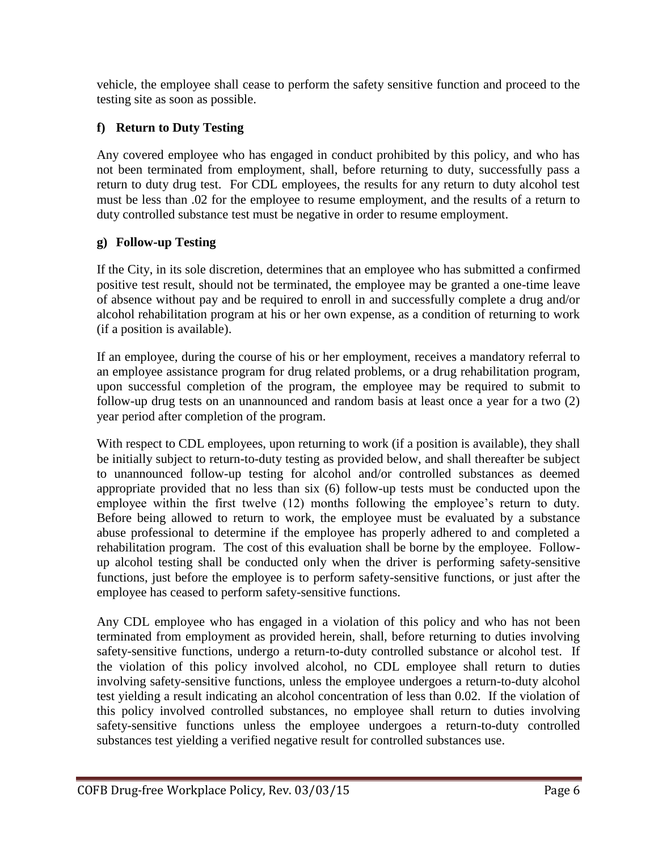vehicle, the employee shall cease to perform the safety sensitive function and proceed to the testing site as soon as possible.

# **f) Return to Duty Testing**

Any covered employee who has engaged in conduct prohibited by this policy, and who has not been terminated from employment, shall, before returning to duty, successfully pass a return to duty drug test. For CDL employees, the results for any return to duty alcohol test must be less than .02 for the employee to resume employment, and the results of a return to duty controlled substance test must be negative in order to resume employment.

# **g) Follow-up Testing**

If the City, in its sole discretion, determines that an employee who has submitted a confirmed positive test result, should not be terminated, the employee may be granted a one-time leave of absence without pay and be required to enroll in and successfully complete a drug and/or alcohol rehabilitation program at his or her own expense, as a condition of returning to work (if a position is available).

If an employee, during the course of his or her employment, receives a mandatory referral to an employee assistance program for drug related problems, or a drug rehabilitation program, upon successful completion of the program, the employee may be required to submit to follow-up drug tests on an unannounced and random basis at least once a year for a two (2) year period after completion of the program.

With respect to CDL employees, upon returning to work (if a position is available), they shall be initially subject to return-to-duty testing as provided below, and shall thereafter be subject to unannounced follow-up testing for alcohol and/or controlled substances as deemed appropriate provided that no less than six (6) follow-up tests must be conducted upon the employee within the first twelve (12) months following the employee's return to duty. Before being allowed to return to work, the employee must be evaluated by a substance abuse professional to determine if the employee has properly adhered to and completed a rehabilitation program. The cost of this evaluation shall be borne by the employee. Followup alcohol testing shall be conducted only when the driver is performing safety-sensitive functions, just before the employee is to perform safety-sensitive functions, or just after the employee has ceased to perform safety-sensitive functions.

Any CDL employee who has engaged in a violation of this policy and who has not been terminated from employment as provided herein, shall, before returning to duties involving safety-sensitive functions, undergo a return-to-duty controlled substance or alcohol test. If the violation of this policy involved alcohol, no CDL employee shall return to duties involving safety-sensitive functions, unless the employee undergoes a return-to-duty alcohol test yielding a result indicating an alcohol concentration of less than 0.02. If the violation of this policy involved controlled substances, no employee shall return to duties involving safety-sensitive functions unless the employee undergoes a return-to-duty controlled substances test yielding a verified negative result for controlled substances use.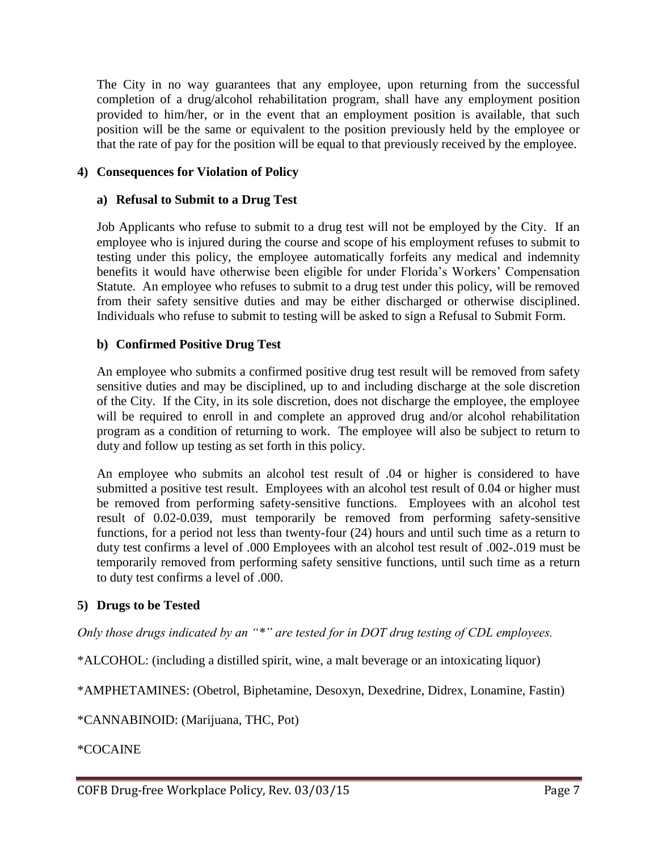The City in no way guarantees that any employee, upon returning from the successful completion of a drug/alcohol rehabilitation program, shall have any employment position provided to him/her, or in the event that an employment position is available, that such position will be the same or equivalent to the position previously held by the employee or that the rate of pay for the position will be equal to that previously received by the employee.

#### **4) Consequences for Violation of Policy**

#### **a) Refusal to Submit to a Drug Test**

Job Applicants who refuse to submit to a drug test will not be employed by the City. If an employee who is injured during the course and scope of his employment refuses to submit to testing under this policy, the employee automatically forfeits any medical and indemnity benefits it would have otherwise been eligible for under Florida's Workers' Compensation Statute. An employee who refuses to submit to a drug test under this policy, will be removed from their safety sensitive duties and may be either discharged or otherwise disciplined. Individuals who refuse to submit to testing will be asked to sign a Refusal to Submit Form.

#### **b) Confirmed Positive Drug Test**

An employee who submits a confirmed positive drug test result will be removed from safety sensitive duties and may be disciplined, up to and including discharge at the sole discretion of the City. If the City, in its sole discretion, does not discharge the employee, the employee will be required to enroll in and complete an approved drug and/or alcohol rehabilitation program as a condition of returning to work. The employee will also be subject to return to duty and follow up testing as set forth in this policy.

An employee who submits an alcohol test result of .04 or higher is considered to have submitted a positive test result. Employees with an alcohol test result of 0.04 or higher must be removed from performing safety-sensitive functions. Employees with an alcohol test result of 0.02-0.039, must temporarily be removed from performing safety-sensitive functions, for a period not less than twenty-four (24) hours and until such time as a return to duty test confirms a level of .000 Employees with an alcohol test result of .002-.019 must be temporarily removed from performing safety sensitive functions, until such time as a return to duty test confirms a level of .000.

#### **5) Drugs to be Tested**

*Only those drugs indicated by an "\*" are tested for in DOT drug testing of CDL employees.*

\*ALCOHOL: (including a distilled spirit, wine, a malt beverage or an intoxicating liquor)

\*AMPHETAMINES: (Obetrol, Biphetamine, Desoxyn, Dexedrine, Didrex, Lonamine, Fastin)

\*CANNABINOID: (Marijuana, THC, Pot)

\*COCAINE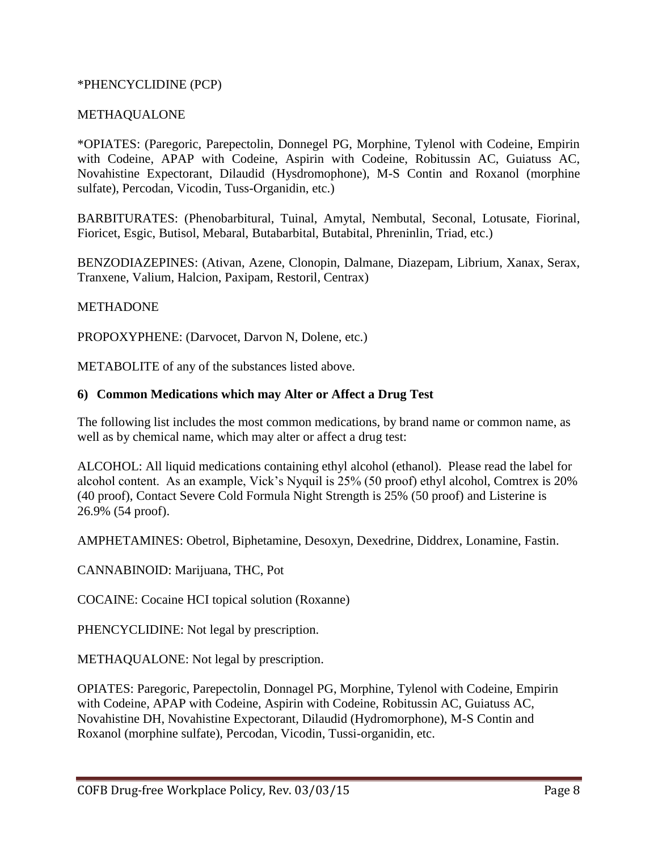#### \*PHENCYCLIDINE (PCP)

#### METHAQUALONE

\*OPIATES: (Paregoric, Parepectolin, Donnegel PG, Morphine, Tylenol with Codeine, Empirin with Codeine, APAP with Codeine, Aspirin with Codeine, Robitussin AC, Guiatuss AC, Novahistine Expectorant, Dilaudid (Hysdromophone), M-S Contin and Roxanol (morphine sulfate), Percodan, Vicodin, Tuss-Organidin, etc.)

BARBITURATES: (Phenobarbitural, Tuinal, Amytal, Nembutal, Seconal, Lotusate, Fiorinal, Fioricet, Esgic, Butisol, Mebaral, Butabarbital, Butabital, Phreninlin, Triad, etc.)

BENZODIAZEPINES: (Ativan, Azene, Clonopin, Dalmane, Diazepam, Librium, Xanax, Serax, Tranxene, Valium, Halcion, Paxipam, Restoril, Centrax)

#### **METHADONE**

PROPOXYPHENE: (Darvocet, Darvon N, Dolene, etc.)

METABOLITE of any of the substances listed above.

#### **6) Common Medications which may Alter or Affect a Drug Test**

The following list includes the most common medications, by brand name or common name, as well as by chemical name, which may alter or affect a drug test:

ALCOHOL: All liquid medications containing ethyl alcohol (ethanol). Please read the label for alcohol content. As an example, Vick's Nyquil is 25% (50 proof) ethyl alcohol, Comtrex is 20% (40 proof), Contact Severe Cold Formula Night Strength is 25% (50 proof) and Listerine is 26.9% (54 proof).

AMPHETAMINES: Obetrol, Biphetamine, Desoxyn, Dexedrine, Diddrex, Lonamine, Fastin.

CANNABINOID: Marijuana, THC, Pot

COCAINE: Cocaine HCI topical solution (Roxanne)

PHENCYCLIDINE: Not legal by prescription.

METHAQUALONE: Not legal by prescription.

OPIATES: Paregoric, Parepectolin, Donnagel PG, Morphine, Tylenol with Codeine, Empirin with Codeine, APAP with Codeine, Aspirin with Codeine, Robitussin AC, Guiatuss AC, Novahistine DH, Novahistine Expectorant, Dilaudid (Hydromorphone), M-S Contin and Roxanol (morphine sulfate), Percodan, Vicodin, Tussi-organidin, etc.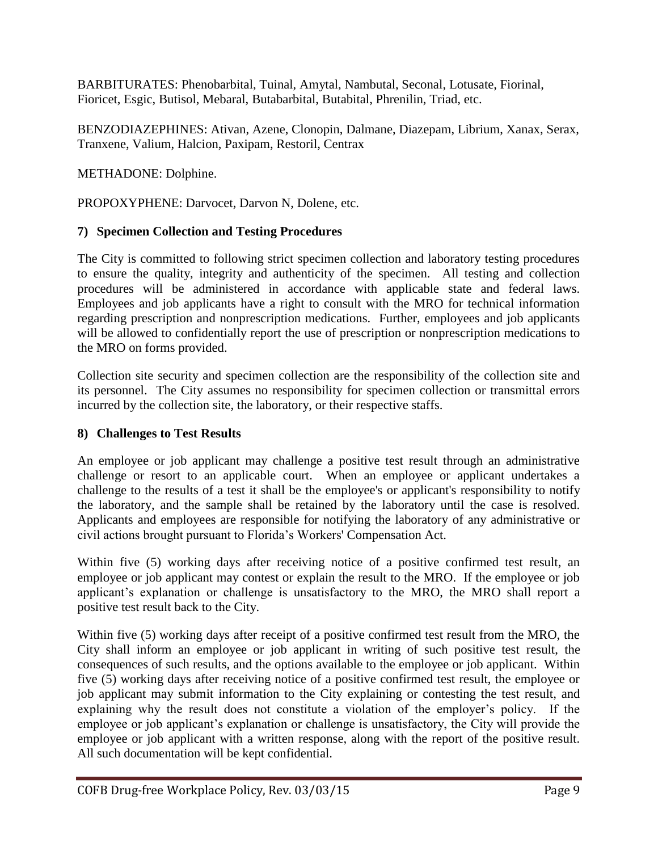BARBITURATES: Phenobarbital, Tuinal, Amytal, Nambutal, Seconal, Lotusate, Fiorinal, Fioricet, Esgic, Butisol, Mebaral, Butabarbital, Butabital, Phrenilin, Triad, etc.

BENZODIAZEPHINES: Ativan, Azene, Clonopin, Dalmane, Diazepam, Librium, Xanax, Serax, Tranxene, Valium, Halcion, Paxipam, Restoril, Centrax

METHADONE: Dolphine.

PROPOXYPHENE: Darvocet, Darvon N, Dolene, etc.

# **7) Specimen Collection and Testing Procedures**

The City is committed to following strict specimen collection and laboratory testing procedures to ensure the quality, integrity and authenticity of the specimen. All testing and collection procedures will be administered in accordance with applicable state and federal laws. Employees and job applicants have a right to consult with the MRO for technical information regarding prescription and nonprescription medications. Further, employees and job applicants will be allowed to confidentially report the use of prescription or nonprescription medications to the MRO on forms provided.

Collection site security and specimen collection are the responsibility of the collection site and its personnel. The City assumes no responsibility for specimen collection or transmittal errors incurred by the collection site, the laboratory, or their respective staffs.

# **8) Challenges to Test Results**

An employee or job applicant may challenge a positive test result through an administrative challenge or resort to an applicable court. When an employee or applicant undertakes a challenge to the results of a test it shall be the employee's or applicant's responsibility to notify the laboratory, and the sample shall be retained by the laboratory until the case is resolved. Applicants and employees are responsible for notifying the laboratory of any administrative or civil actions brought pursuant to Florida's Workers' Compensation Act.

Within five (5) working days after receiving notice of a positive confirmed test result, an employee or job applicant may contest or explain the result to the MRO. If the employee or job applicant's explanation or challenge is unsatisfactory to the MRO, the MRO shall report a positive test result back to the City.

Within five (5) working days after receipt of a positive confirmed test result from the MRO, the City shall inform an employee or job applicant in writing of such positive test result, the consequences of such results, and the options available to the employee or job applicant. Within five (5) working days after receiving notice of a positive confirmed test result, the employee or job applicant may submit information to the City explaining or contesting the test result, and explaining why the result does not constitute a violation of the employer's policy. If the employee or job applicant's explanation or challenge is unsatisfactory, the City will provide the employee or job applicant with a written response, along with the report of the positive result. All such documentation will be kept confidential.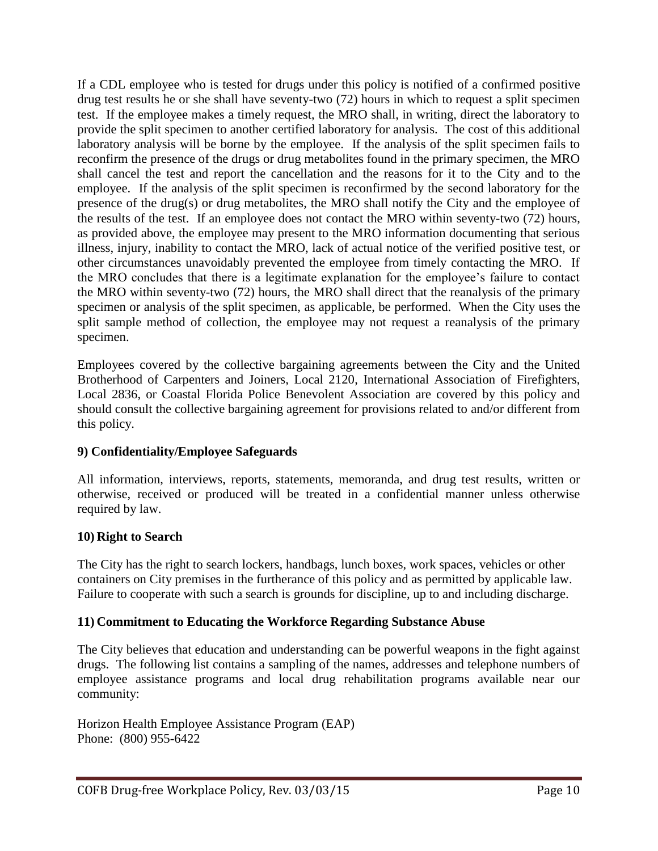If a CDL employee who is tested for drugs under this policy is notified of a confirmed positive drug test results he or she shall have seventy-two (72) hours in which to request a split specimen test. If the employee makes a timely request, the MRO shall, in writing, direct the laboratory to provide the split specimen to another certified laboratory for analysis. The cost of this additional laboratory analysis will be borne by the employee. If the analysis of the split specimen fails to reconfirm the presence of the drugs or drug metabolites found in the primary specimen, the MRO shall cancel the test and report the cancellation and the reasons for it to the City and to the employee. If the analysis of the split specimen is reconfirmed by the second laboratory for the presence of the drug(s) or drug metabolites, the MRO shall notify the City and the employee of the results of the test. If an employee does not contact the MRO within seventy-two (72) hours, as provided above, the employee may present to the MRO information documenting that serious illness, injury, inability to contact the MRO, lack of actual notice of the verified positive test, or other circumstances unavoidably prevented the employee from timely contacting the MRO. If the MRO concludes that there is a legitimate explanation for the employee's failure to contact the MRO within seventy-two (72) hours, the MRO shall direct that the reanalysis of the primary specimen or analysis of the split specimen, as applicable, be performed. When the City uses the split sample method of collection, the employee may not request a reanalysis of the primary specimen.

Employees covered by the collective bargaining agreements between the City and the United Brotherhood of Carpenters and Joiners, Local 2120, International Association of Firefighters, Local 2836, or Coastal Florida Police Benevolent Association are covered by this policy and should consult the collective bargaining agreement for provisions related to and/or different from this policy.

# **9) Confidentiality/Employee Safeguards**

All information, interviews, reports, statements, memoranda, and drug test results, written or otherwise, received or produced will be treated in a confidential manner unless otherwise required by law.

#### **10) Right to Search**

The City has the right to search lockers, handbags, lunch boxes, work spaces, vehicles or other containers on City premises in the furtherance of this policy and as permitted by applicable law. Failure to cooperate with such a search is grounds for discipline, up to and including discharge.

#### **11) Commitment to Educating the Workforce Regarding Substance Abuse**

The City believes that education and understanding can be powerful weapons in the fight against drugs. The following list contains a sampling of the names, addresses and telephone numbers of employee assistance programs and local drug rehabilitation programs available near our community:

Horizon Health Employee Assistance Program (EAP) Phone: (800) 955-6422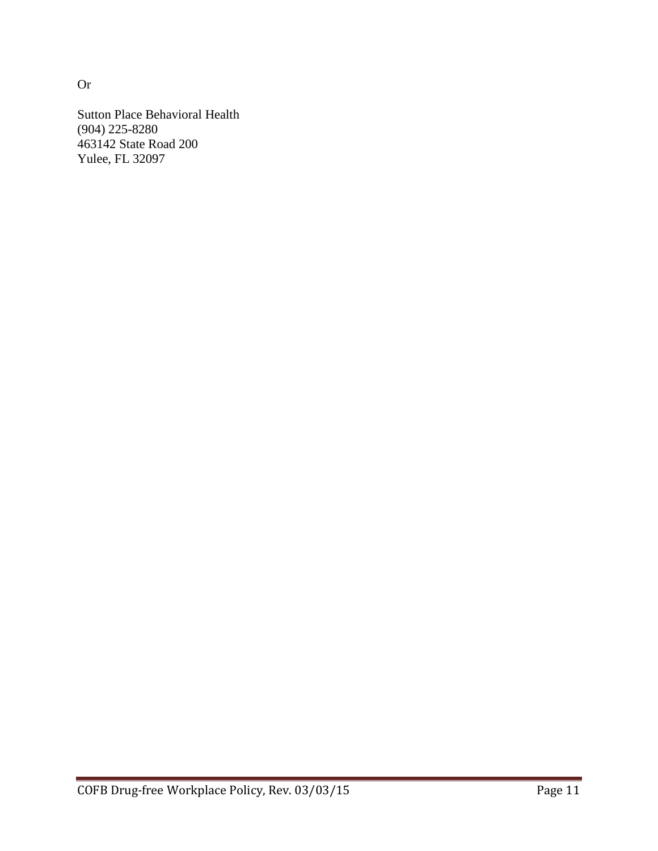Sutton Place Behavioral Health (904) 225-8280 463142 State Road 200 Yulee, FL 32097

Or